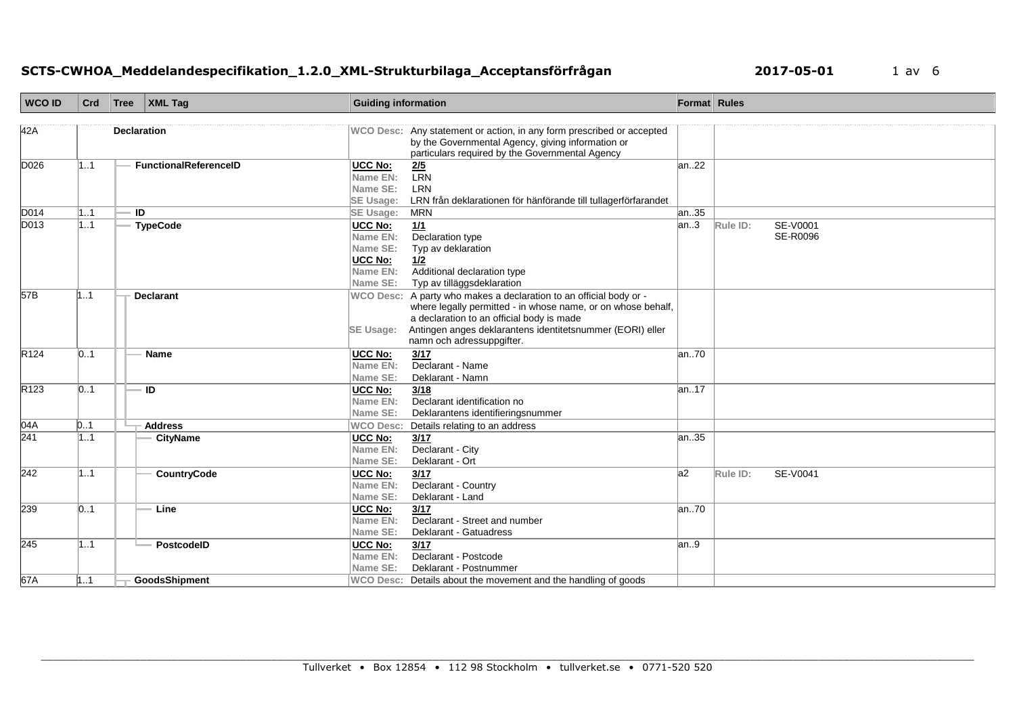# **SCTS-CWHOA\_Meddelandespecifikation\_1.2.0\_XML-Strukturbilaga\_Acceptansförfrågan 2017-05-01** 1 av 6

| <b>WCO ID</b>    | Crd | Tree               | $\vert$ XML Tag              | <b>Guiding information</b>   |                                                                                                                                    |       | Format Rules                |
|------------------|-----|--------------------|------------------------------|------------------------------|------------------------------------------------------------------------------------------------------------------------------------|-------|-----------------------------|
|                  |     |                    |                              |                              |                                                                                                                                    |       |                             |
| 42A              |     | <b>Declaration</b> |                              |                              | WCO Desc: Any statement or action, in any form prescribed or accepted                                                              |       |                             |
|                  |     |                    |                              |                              | by the Governmental Agency, giving information or                                                                                  |       |                             |
| D026             | 1.1 |                    | <b>FunctionalReferenceID</b> |                              | particulars required by the Governmental Agency                                                                                    | an22  |                             |
|                  |     |                    |                              | UCC No:<br>Name EN:          | $\frac{2/5}{LRN}$                                                                                                                  |       |                             |
|                  |     |                    |                              | Name SE:                     | <b>LRN</b>                                                                                                                         |       |                             |
|                  |     |                    |                              | SE Usage:                    | LRN från deklarationen för hänförande till tullagerförfarandet                                                                     |       |                             |
| D014             | 11  | ID                 |                              | SE Usage:                    | <b>MRN</b>                                                                                                                         | an35  |                             |
| D013             | 1.1 |                    | <b>TypeCode</b>              | <b>UCC No:</b>               | 1/1                                                                                                                                | an.3  | <b>SE-V0001</b><br>Rule ID: |
|                  |     |                    |                              | Name EN:                     | Declaration type                                                                                                                   |       | SE-R0096                    |
|                  |     |                    |                              | Name SE:                     | Typ av deklaration                                                                                                                 |       |                             |
|                  |     |                    |                              | <b>UCC No:</b>               | 1/2                                                                                                                                |       |                             |
|                  |     |                    |                              | Name EN:                     | Additional declaration type                                                                                                        |       |                             |
| 57B              |     |                    |                              | Name SE:                     | Typ av tilläggsdeklaration                                                                                                         |       |                             |
|                  | 1.1 |                    | <b>Declarant</b>             |                              | WCO Desc: A party who makes a declaration to an official body or -<br>where legally permitted - in whose name, or on whose behalf, |       |                             |
|                  |     |                    |                              |                              | a declaration to an official body is made                                                                                          |       |                             |
|                  |     |                    |                              | <b>SE Usage:</b>             | Antingen anges deklarantens identitetsnummer (EORI) eller                                                                          |       |                             |
|                  |     |                    |                              |                              | namn och adressuppgifter.                                                                                                          |       |                             |
| R <sub>124</sub> | 01  |                    | <b>Name</b>                  | UCC No:                      | 3/17                                                                                                                               | lan70 |                             |
|                  |     |                    |                              | Name EN:                     | Declarant - Name                                                                                                                   |       |                             |
|                  |     |                    |                              | Name SE:                     | Deklarant - Namn                                                                                                                   |       |                             |
| R <sub>123</sub> | 01  |                    | · ID                         | <b>UCC No:</b>               | 3/18                                                                                                                               | lan17 |                             |
|                  |     |                    |                              | Name EN:                     | Declarant identification no                                                                                                        |       |                             |
|                  | 0.1 |                    | <b>Address</b>               | Name SE:<br><b>WCO Desc:</b> | Deklarantens identifieringsnummer                                                                                                  |       |                             |
| 04A<br>241       | 1.1 |                    | <b>CityName</b>              | <b>UCC No:</b>               | Details relating to an address<br>3/17                                                                                             | an35  |                             |
|                  |     |                    |                              | Name EN:                     | Declarant - City                                                                                                                   |       |                             |
|                  |     |                    |                              | Name SE:                     | Deklarant - Ort                                                                                                                    |       |                             |
| 242              | 11  |                    | CountryCode                  | <b>UCC No:</b>               | 3/17                                                                                                                               | a2    | SE-V0041<br>Rule ID:        |
|                  |     |                    |                              | Name EN:                     | Declarant - Country                                                                                                                |       |                             |
|                  |     |                    |                              | Name SE:                     | Deklarant - Land                                                                                                                   |       |                             |
| 239              | 01  |                    | Line                         | <b>UCC No:</b>               | 3/17                                                                                                                               | lan70 |                             |
|                  |     |                    |                              | Name EN:                     | Declarant - Street and number                                                                                                      |       |                             |
|                  |     |                    |                              | Name SE:                     | Deklarant - Gatuadress                                                                                                             |       |                             |
| 245              | 1.1 |                    | PostcodelD                   | <b>UCC No:</b>               | 3/17                                                                                                                               | an.9  |                             |
|                  |     |                    |                              | Name EN:                     | Declarant - Postcode<br>Deklarant - Postnummer                                                                                     |       |                             |
| 67A              | 1.1 |                    | <b>GoodsShipment</b>         | Name SE:                     | WCO Desc: Details about the movement and the handling of goods                                                                     |       |                             |
|                  |     |                    |                              |                              |                                                                                                                                    |       |                             |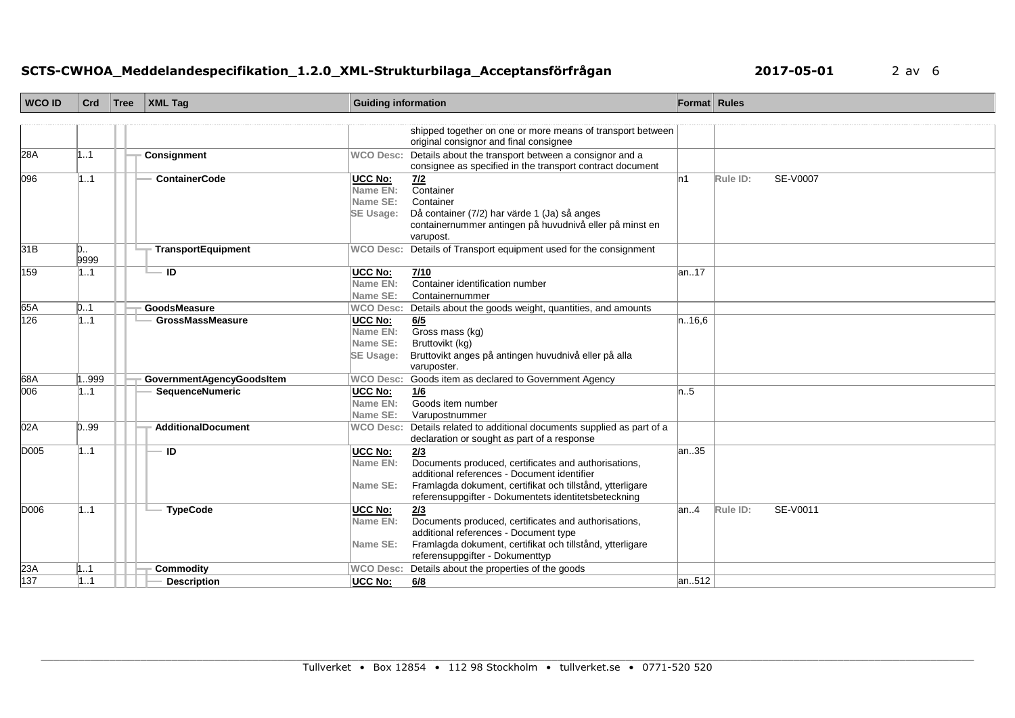# **SCTS-CWHOA\_Meddelandespecifikation\_1.2.0\_XML-Strukturbilaga\_Acceptansförfrågan 2017-05-01** 2 av 6

| <b>WCO ID</b> | Crd       | Tree | <b>XML Tag</b>            | <b>Guiding information</b>                                 |                                                                                                                                                                                                                                 | Format Rules |                             |
|---------------|-----------|------|---------------------------|------------------------------------------------------------|---------------------------------------------------------------------------------------------------------------------------------------------------------------------------------------------------------------------------------|--------------|-----------------------------|
|               |           |      |                           |                                                            |                                                                                                                                                                                                                                 |              |                             |
|               |           |      |                           |                                                            | shipped together on one or more means of transport between<br>original consignor and final consignee                                                                                                                            |              |                             |
| 28A           | 11        |      | Consignment               |                                                            | WCO Desc: Details about the transport between a consignor and a<br>consignee as specified in the transport contract document                                                                                                    |              |                             |
| 096           | 1.1       |      | <b>ContainerCode</b>      | UCC No:<br>Name EN:<br>Name SE:<br><b>SE Usage:</b>        | 7/2<br>Container<br>Container<br>Då container (7/2) har värde 1 (Ja) så anges<br>containernummer antingen på huvudnivå eller på minst en<br>varupost.                                                                           | ln 1         | <b>SE-V0007</b><br>Rule ID: |
| 31B           | 0<br>9999 |      | TransportEquipment        | <b>WCO Desc:</b>                                           | Details of Transport equipment used for the consignment                                                                                                                                                                         |              |                             |
| 159           | 1.1       |      | - ID                      | UCC No:<br>Name EN:<br>Name SE:                            | 7/10<br>Container identification number<br>Containernummer                                                                                                                                                                      | an17         |                             |
| 65A           | 0.1       |      | GoodsMeasure              | <b>WCO Desc:</b>                                           | Details about the goods weight, quantities, and amounts                                                                                                                                                                         |              |                             |
| 126           | 1.1       |      | <b>GrossMassMeasure</b>   | <b>UCC No:</b><br>Name EN:<br>Name SE:<br><b>SE Usage:</b> | 6/5<br>Gross mass (kg)<br>Bruttovikt (kg)<br>Bruttovikt anges på antingen huvudnivå eller på alla<br>varuposter.                                                                                                                | n.16,6       |                             |
| 68A           | 999       |      | GovernmentAgencyGoodsItem | <b>WCO Desc:</b>                                           | Goods item as declared to Government Agency                                                                                                                                                                                     |              |                             |
| 006           | 11        |      | SequenceNumeric           | UCC No:<br>Name EN:<br>Name SE:                            | 1/6<br>Goods item number<br>Varupostnummer                                                                                                                                                                                      | n.5          |                             |
| 02A           | 0.99      |      | <b>AdditionalDocument</b> | <b>WCO Desc:</b>                                           | Details related to additional documents supplied as part of a<br>declaration or sought as part of a response                                                                                                                    |              |                             |
| D005          | 11        |      | -ID                       | <b>UCC No:</b><br>Name EN:<br>Name SE:                     | 2/3<br>Documents produced, certificates and authorisations,<br>additional references - Document identifier<br>Framlagda dokument, certifikat och tillstånd, ytterligare<br>referensuppgifter - Dokumentets identitetsbeteckning | an35         |                             |
| D006          | 11        |      | <b>TypeCode</b>           | UCC No:<br>Name EN:<br>Name SE:                            | 2/3<br>Documents produced, certificates and authorisations,<br>additional references - Document type<br>Framlagda dokument, certifikat och tillstånd, ytterligare<br>referensuppgifter - Dokumenttyp                            | lan.4        | SE-V0011<br>Rule ID:        |
| 23A           | 1.1       |      | Commodity                 | <b>WCO Desc:</b>                                           | Details about the properties of the goods                                                                                                                                                                                       |              |                             |
| 137           | 1.1       |      | <b>Description</b>        | <b>UCC No:</b>                                             | 6/8                                                                                                                                                                                                                             | an512        |                             |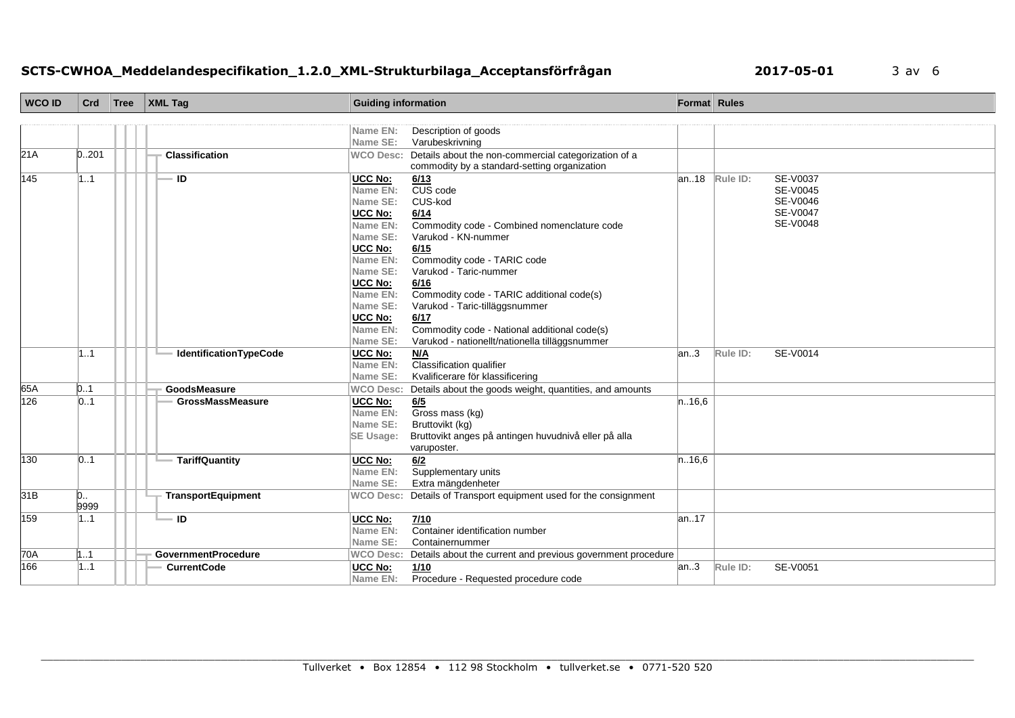# **SCTS-CWHOA\_Meddelandespecifikation\_1.2.0\_XML-Strukturbilaga\_Acceptansförfrågan 2017-05-01** 3 av 6

| <b>WCO ID</b> | Crd             | Tree | $\vert$ XML Taq            | <b>Guiding information</b>                                                                                                                                                                |                                                                                                                                                                                                                                                                                                                                                                                    | Format Rules |                                                                             |
|---------------|-----------------|------|----------------------------|-------------------------------------------------------------------------------------------------------------------------------------------------------------------------------------------|------------------------------------------------------------------------------------------------------------------------------------------------------------------------------------------------------------------------------------------------------------------------------------------------------------------------------------------------------------------------------------|--------------|-----------------------------------------------------------------------------|
|               |                 |      |                            |                                                                                                                                                                                           |                                                                                                                                                                                                                                                                                                                                                                                    |              |                                                                             |
|               |                 |      |                            | Name EN:                                                                                                                                                                                  | Description of goods                                                                                                                                                                                                                                                                                                                                                               |              |                                                                             |
|               |                 |      |                            | Name SE:                                                                                                                                                                                  | Varubeskrivning                                                                                                                                                                                                                                                                                                                                                                    |              |                                                                             |
| 21A           | 0.201           |      | <b>Classification</b>      | <b>WCO Desc:</b>                                                                                                                                                                          | Details about the non-commercial categorization of a<br>commodity by a standard-setting organization                                                                                                                                                                                                                                                                               |              |                                                                             |
| 145           | 1.1             |      | ١D                         | UCC No:<br>Name EN:<br>Name SE:<br><b>UCC No:</b><br>Name EN:<br>Name SE:<br>UCC No:<br>Name EN:<br>Name SE:<br><b>UCC No:</b><br>Name EN:<br>Name SE:<br>UCC No:<br>Name EN:<br>Name SE: | $\frac{6/13}{CUS}$ code<br>CUS-kod<br>6/14<br>Commodity code - Combined nomenclature code<br>Varukod - KN-nummer<br>6/15<br>Commodity code - TARIC code<br>Varukod - Taric-nummer<br>6/16<br>Commodity code - TARIC additional code(s)<br>Varukod - Taric-tilläggsnummer<br>6/17<br>Commodity code - National additional code(s)<br>Varukod - nationellt/nationella tilläggsnummer | an18         | SE-V0037<br>Rule ID:<br>SE-V0045<br>SE-V0046<br><b>SE-V0047</b><br>SE-V0048 |
|               | 11              |      | IdentificationTypeCode     | UCC No:<br>Name EN:<br>Name SE:                                                                                                                                                           | M/A<br>Classification qualifier<br>Kvalificerare för klassificering                                                                                                                                                                                                                                                                                                                | lan3         | SE-V0014<br>Rule ID:                                                        |
| 65A           | 0.1             |      | GoodsMeasure               | <b>WCO Desc:</b>                                                                                                                                                                          | Details about the goods weight, quantities, and amounts                                                                                                                                                                                                                                                                                                                            |              |                                                                             |
| 126           | 0.1             |      | <b>GrossMassMeasure</b>    | <b>UCC No:</b><br>Name EN:<br>Name SE:<br><b>SE Usage:</b>                                                                                                                                | 6/5<br>Gross mass (kg)<br>Bruttovikt (kg)<br>Bruttovikt anges på antingen huvudnivå eller på alla<br>varuposter.                                                                                                                                                                                                                                                                   | n. 16,6      |                                                                             |
| 130           | 01              |      | <b>TariffQuantity</b>      | <b>UCC No:</b><br>Name EN:<br>Name SE:                                                                                                                                                    | 6/2<br>Supplementary units<br>Extra mängdenheter                                                                                                                                                                                                                                                                                                                                   | n.16,6       |                                                                             |
| 31B           | 0<br>9999       |      | <b>TransportEquipment</b>  | <b>WCO Desc:</b>                                                                                                                                                                          | Details of Transport equipment used for the consignment                                                                                                                                                                                                                                                                                                                            |              |                                                                             |
| 159           | 1.1             |      | $\blacksquare$ ID          | <b>UCC No:</b><br>Name EN:<br>Name SE:                                                                                                                                                    | 7/10<br>Container identification number<br>Containernummer                                                                                                                                                                                                                                                                                                                         | an.17        |                                                                             |
| 70A           | $\mathsf{L}$ .1 |      | <b>GovernmentProcedure</b> | <b>WCO Desc:</b>                                                                                                                                                                          | Details about the current and previous government procedure                                                                                                                                                                                                                                                                                                                        |              |                                                                             |
| 166           | 11              |      | <b>CurrentCode</b>         | UCC No:<br>Name EN:                                                                                                                                                                       | 1/10<br>Procedure - Requested procedure code                                                                                                                                                                                                                                                                                                                                       | an.3         | SE-V0051<br>Rule ID:                                                        |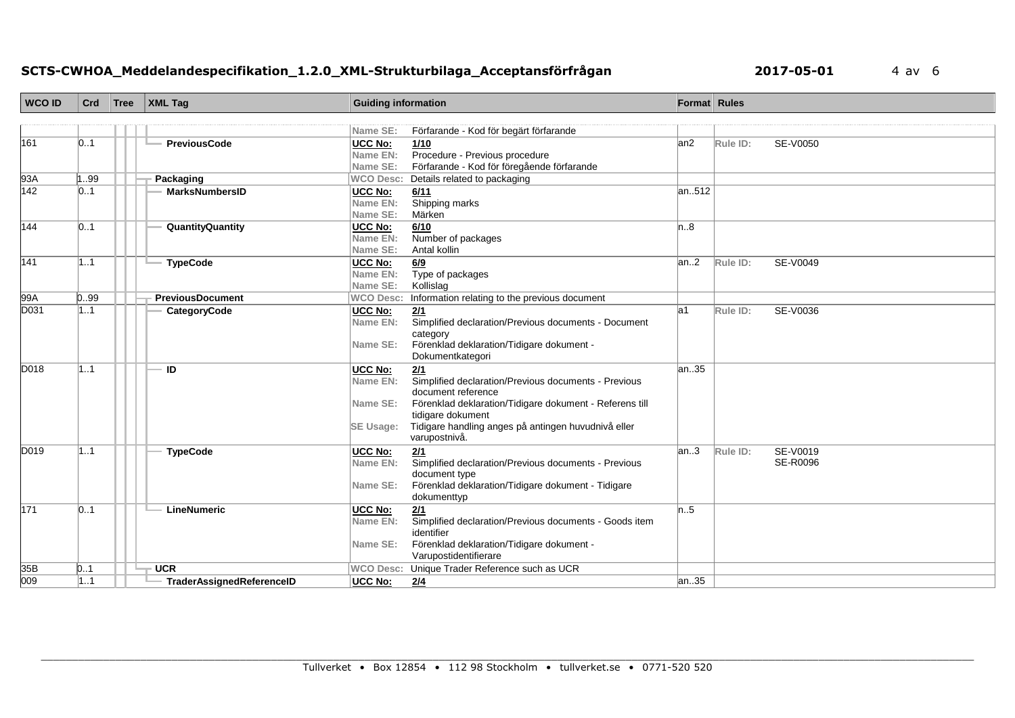# **SCTS-CWHOA\_Meddelandespecifikation\_1.2.0\_XML-Strukturbilaga\_Acceptansförfrågan 2017-05-01** 4 av 6

| <b>WCO ID</b>    | Crd  | Tree | $\vert$ XML Taq           | <b>Guiding information</b> |                                                                    | Format Rules |          |                 |
|------------------|------|------|---------------------------|----------------------------|--------------------------------------------------------------------|--------------|----------|-----------------|
|                  |      |      |                           |                            |                                                                    |              |          |                 |
|                  |      |      |                           | Name SE:                   | Förfarande - Kod för begärt förfarande                             |              |          |                 |
| 161              | 01   |      | <b>PreviousCode</b>       | <b>UCC No:</b>             | 1/10                                                               | an2          | Rule ID: | SE-V0050        |
|                  |      |      |                           | Name EN:                   | Procedure - Previous procedure                                     |              |          |                 |
|                  |      |      |                           | Name SE:                   | Förfarande - Kod för föregående förfarande                         |              |          |                 |
| 93A              | 1.99 |      | Packaging                 | <b>WCO Desc:</b>           | Details related to packaging                                       |              |          |                 |
| 142              | 0.1  |      | <b>MarksNumbersID</b>     | <b>UCC No:</b>             | 6/11                                                               | an512        |          |                 |
|                  |      |      |                           | Name EN:                   | Shipping marks                                                     |              |          |                 |
|                  |      |      |                           | Name SE:                   | Märken                                                             |              |          |                 |
| 144              | 01   |      | QuantityQuantity          | UCC No:                    | 6/10                                                               | n.8          |          |                 |
|                  |      |      |                           | Name EN:                   | Number of packages                                                 |              |          |                 |
|                  |      |      |                           | Name SE:                   | Antal kollin                                                       |              |          |                 |
| 141              | 1.1  |      | <b>TypeCode</b>           | <b>UCC No:</b>             | 6/9                                                                | an.2         | Rule ID: | <b>SE-V0049</b> |
|                  |      |      |                           | Name EN:                   | Type of packages                                                   |              |          |                 |
|                  |      |      |                           | Name SE:                   | Kollislag                                                          |              |          |                 |
| 99A              | 0.99 |      | <b>PreviousDocument</b>   | <b>WCO Desc:</b>           | Information relating to the previous document                      |              |          |                 |
| D031             | 1.1  |      | CategoryCode              | <b>UCC No:</b>             | 2/1                                                                | la1          | Rule ID: | SE-V0036        |
|                  |      |      |                           | Name EN:                   | Simplified declaration/Previous documents - Document               |              |          |                 |
|                  |      |      |                           |                            | category                                                           |              |          |                 |
|                  |      |      |                           | Name SE:                   | Förenklad deklaration/Tidigare dokument -                          |              |          |                 |
|                  |      |      |                           |                            | Dokumentkategori                                                   |              |          |                 |
| D018             | 1.1  |      | ID                        | UCC No:                    | 2/1<br>Simplified declaration/Previous documents - Previous        | an.35        |          |                 |
|                  |      |      |                           | Name EN:                   |                                                                    |              |          |                 |
|                  |      |      |                           |                            | document reference                                                 |              |          |                 |
|                  |      |      |                           | Name SE:                   | Förenklad deklaration/Tidigare dokument - Referens till            |              |          |                 |
|                  |      |      |                           |                            | tidigare dokument                                                  |              |          |                 |
|                  |      |      |                           | <b>SE Usage:</b>           | Tidigare handling anges på antingen huvudnivå eller                |              |          |                 |
|                  |      |      |                           |                            | varupostnivå.                                                      |              |          |                 |
| D019             | 1.1  |      | <b>TypeCode</b>           | <b>UCC No:</b>             | 2/1                                                                | an.3         | Rule ID: | SE-V0019        |
|                  |      |      |                           | Name EN:                   | Simplified declaration/Previous documents - Previous               |              |          | <b>SE-R0096</b> |
|                  |      |      |                           |                            | document type                                                      |              |          |                 |
|                  |      |      |                           | Name SE:                   | Förenklad deklaration/Tidigare dokument - Tidigare                 |              |          |                 |
|                  |      |      |                           |                            | dokumenttyp                                                        |              |          |                 |
| 171              | 01   |      | LineNumeric               | UCC No:                    | 2/1                                                                | n.5          |          |                 |
|                  |      |      |                           | Name EN:                   | Simplified declaration/Previous documents - Goods item             |              |          |                 |
|                  |      |      |                           |                            | identifier                                                         |              |          |                 |
|                  |      |      |                           | Name SE:                   | Förenklad deklaration/Tidigare dokument -<br>Varupostidentifierare |              |          |                 |
|                  |      |      |                           |                            |                                                                    |              |          |                 |
| 35B              | 0.1  |      | <b>UCR</b>                | <b>WCO Desc:</b>           | Unique Trader Reference such as UCR                                |              |          |                 |
| $\overline{009}$ | 1.1  |      | TraderAssignedReferenceID | <b>UCC No:</b>             | 2/4                                                                | an35         |          |                 |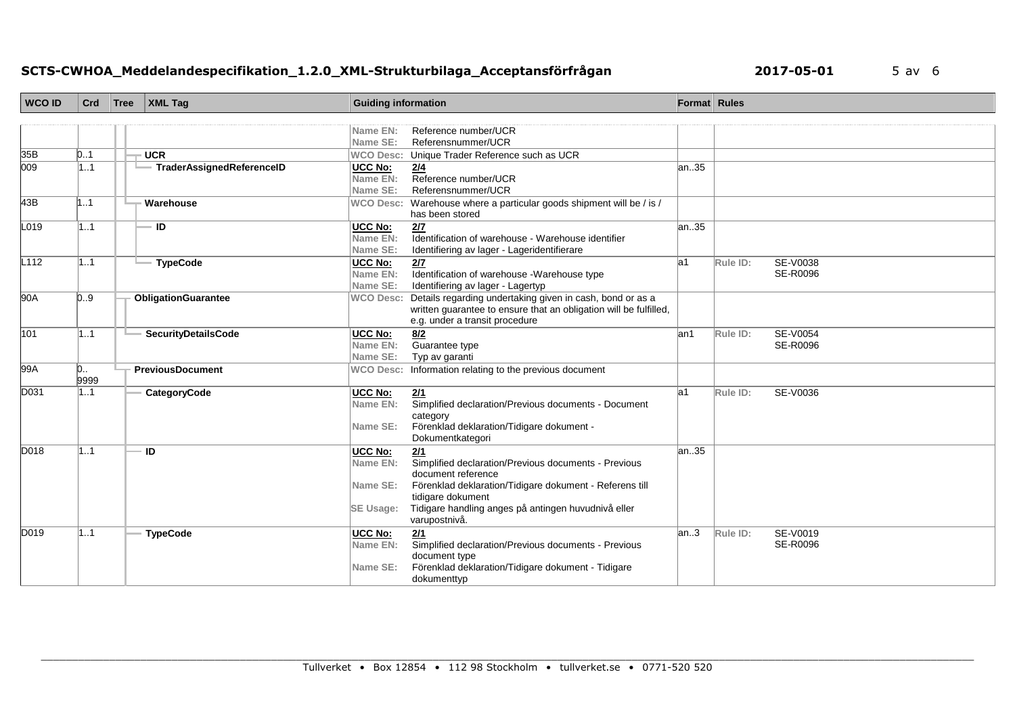# **SCTS-CWHOA\_Meddelandespecifikation\_1.2.0\_XML-Strukturbilaga\_Acceptansförfrågan 2017-05-01** 5 av 6

| <b>WCO ID</b>    | Crd       | Tree | $\vert$ XML Tag            | <b>Guiding information</b> |                                                                                                                                | Format Rules |          |                 |  |
|------------------|-----------|------|----------------------------|----------------------------|--------------------------------------------------------------------------------------------------------------------------------|--------------|----------|-----------------|--|
|                  |           |      |                            |                            |                                                                                                                                |              |          |                 |  |
|                  |           |      |                            | Name EN:                   | Reference number/UCR                                                                                                           |              |          |                 |  |
|                  |           |      |                            | Name SE:                   | Referensnummer/UCR                                                                                                             |              |          |                 |  |
| 35B              | 0.1       |      | <b>UCR</b>                 |                            | WCO Desc: Unique Trader Reference such as UCR                                                                                  |              |          |                 |  |
| $\overline{009}$ | 1.1       |      | TraderAssignedReferenceID  | UCC No:                    | 2/4                                                                                                                            | an35         |          |                 |  |
|                  |           |      |                            | Name EN:<br>Name SE:       | Reference number/UCR<br>Referensnummer/UCR                                                                                     |              |          |                 |  |
| 43B              | 11        |      | Warehouse                  | <b>WCO Desc:</b>           | Warehouse where a particular goods shipment will be / is /                                                                     |              |          |                 |  |
|                  |           |      |                            |                            | has been stored                                                                                                                |              |          |                 |  |
| L019             | 1.1       |      | — ID                       | UCC No:                    | 2/7                                                                                                                            | an35         |          |                 |  |
|                  |           |      |                            | Name EN:                   | Identification of warehouse - Warehouse identifier                                                                             |              |          |                 |  |
|                  |           |      |                            | Name SE:                   | Identifiering av lager - Lageridentifierare                                                                                    |              |          |                 |  |
| L <sub>112</sub> | 11        |      | <b>TypeCode</b>            | <b>UCC No:</b>             | 2/7                                                                                                                            | la1          | Rule ID: | <b>SE-V0038</b> |  |
|                  |           |      |                            | Name EN:                   | Identification of warehouse -Warehouse type                                                                                    |              |          | <b>SE-R0096</b> |  |
| 90A              | 0.9       |      |                            | Name SE:                   | Identifiering av lager - Lagertyp                                                                                              |              |          |                 |  |
|                  |           |      | ObligationGuarantee        | <b>WCO Desc:</b>           | Details regarding undertaking given in cash, bond or as a<br>written guarantee to ensure that an obligation will be fulfilled, |              |          |                 |  |
|                  |           |      |                            |                            | e.g. under a transit procedure                                                                                                 |              |          |                 |  |
| 101              | 11        |      | <b>SecurityDetailsCode</b> | <b>UCC No:</b>             | 8/2                                                                                                                            | lan1         | Rule ID: | <b>SE-V0054</b> |  |
|                  |           |      |                            | Name EN:                   | Guarantee type                                                                                                                 |              |          | SE-R0096        |  |
|                  |           |      |                            | Name SE:                   | Typ av garanti                                                                                                                 |              |          |                 |  |
| 99A              | 0<br>9999 |      | <b>PreviousDocument</b>    |                            | WCO Desc: Information relating to the previous document                                                                        |              |          |                 |  |
| D031             | 11        |      | CategoryCode               | <b>UCC No:</b>             | 2/1                                                                                                                            | la1          | Rule ID: | SE-V0036        |  |
|                  |           |      |                            | Name EN:                   | Simplified declaration/Previous documents - Document                                                                           |              |          |                 |  |
|                  |           |      |                            |                            | category                                                                                                                       |              |          |                 |  |
|                  |           |      |                            | Name SE:                   | Förenklad deklaration/Tidigare dokument -                                                                                      |              |          |                 |  |
|                  |           |      | ID                         |                            | Dokumentkategori                                                                                                               |              |          |                 |  |
| D018             | 1.1       |      |                            | <b>UCC No:</b><br>Name EN: | 2/1<br>Simplified declaration/Previous documents - Previous                                                                    | an35         |          |                 |  |
|                  |           |      |                            |                            | document reference                                                                                                             |              |          |                 |  |
|                  |           |      |                            | Name SE:                   | Förenklad deklaration/Tidigare dokument - Referens till                                                                        |              |          |                 |  |
|                  |           |      |                            |                            | tidigare dokument                                                                                                              |              |          |                 |  |
|                  |           |      |                            | <b>SE Usage:</b>           | Tidigare handling anges på antingen huvudnivå eller                                                                            |              |          |                 |  |
|                  |           |      |                            |                            | varupostnivå.                                                                                                                  |              |          |                 |  |
| D019             | 1.1       |      | <b>TypeCode</b>            | UCC No:                    | 2/1                                                                                                                            | an.3         | Rule ID: | SE-V0019        |  |
|                  |           |      |                            | Name EN:                   | Simplified declaration/Previous documents - Previous                                                                           |              |          | <b>SE-R0096</b> |  |
|                  |           |      |                            |                            | document type                                                                                                                  |              |          |                 |  |
|                  |           |      |                            | Name SE:                   | Förenklad deklaration/Tidigare dokument - Tidigare<br>dokumenttyp                                                              |              |          |                 |  |
|                  |           |      |                            |                            |                                                                                                                                |              |          |                 |  |